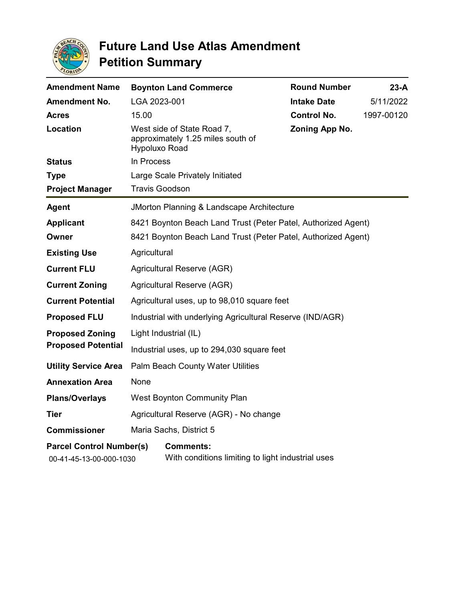

| <b>Amendment Name</b>                                      |                                                               | <b>Boynton Land Commerce</b>                                          | <b>Round Number</b> | $23-A$     |
|------------------------------------------------------------|---------------------------------------------------------------|-----------------------------------------------------------------------|---------------------|------------|
| <b>Amendment No.</b>                                       | LGA 2023-001                                                  |                                                                       | <b>Intake Date</b>  | 5/11/2022  |
| <b>Acres</b>                                               | 15.00                                                         |                                                                       | <b>Control No.</b>  | 1997-00120 |
| Location                                                   | Hypoluxo Road                                                 | West side of State Road 7,<br>approximately 1.25 miles south of       | Zoning App No.      |            |
| <b>Status</b>                                              | In Process                                                    |                                                                       |                     |            |
| <b>Type</b>                                                |                                                               | Large Scale Privately Initiated                                       |                     |            |
| <b>Project Manager</b>                                     | <b>Travis Goodson</b>                                         |                                                                       |                     |            |
| <b>Agent</b>                                               | JMorton Planning & Landscape Architecture                     |                                                                       |                     |            |
| <b>Applicant</b>                                           | 8421 Boynton Beach Land Trust (Peter Patel, Authorized Agent) |                                                                       |                     |            |
| Owner                                                      | 8421 Boynton Beach Land Trust (Peter Patel, Authorized Agent) |                                                                       |                     |            |
| <b>Existing Use</b>                                        | Agricultural                                                  |                                                                       |                     |            |
| <b>Current FLU</b>                                         | Agricultural Reserve (AGR)                                    |                                                                       |                     |            |
| <b>Current Zoning</b>                                      | Agricultural Reserve (AGR)                                    |                                                                       |                     |            |
| <b>Current Potential</b>                                   | Agricultural uses, up to 98,010 square feet                   |                                                                       |                     |            |
| <b>Proposed FLU</b>                                        | Industrial with underlying Agricultural Reserve (IND/AGR)     |                                                                       |                     |            |
| <b>Proposed Zoning</b><br><b>Proposed Potential</b>        | Light Industrial (IL)                                         |                                                                       |                     |            |
|                                                            | Industrial uses, up to 294,030 square feet                    |                                                                       |                     |            |
| <b>Utility Service Area</b>                                | Palm Beach County Water Utilities                             |                                                                       |                     |            |
| <b>Annexation Area</b>                                     | None                                                          |                                                                       |                     |            |
| <b>Plans/Overlays</b>                                      | <b>West Boynton Community Plan</b>                            |                                                                       |                     |            |
| <b>Tier</b>                                                | Agricultural Reserve (AGR) - No change                        |                                                                       |                     |            |
| <b>Commissioner</b>                                        | Maria Sachs, District 5                                       |                                                                       |                     |            |
| <b>Parcel Control Number(s)</b><br>00-41-45-13-00-000-1030 |                                                               | <b>Comments:</b><br>With conditions limiting to light industrial uses |                     |            |